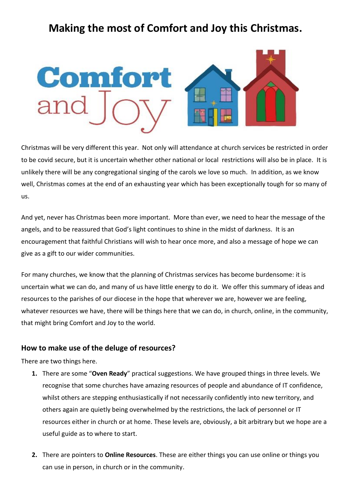

Christmas will be very different this year. Not only will attendance at church services be restricted in order to be covid secure, but it is uncertain whether other national or local restrictions will also be in place. It is unlikely there will be any congregational singing of the carols we love so much. In addition, as we know well, Christmas comes at the end of an exhausting year which has been exceptionally tough for so many of us.

And yet, never has Christmas been more important. More than ever, we need to hear the message of the angels, and to be reassured that God's light continues to shine in the midst of darkness. It is an encouragement that faithful Christians will wish to hear once more, and also a message of hope we can give as a gift to our wider communities.

For many churches, we know that the planning of Christmas services has become burdensome: it is uncertain what we can do, and many of us have little energy to do it. We offer this summary of ideas and resources to the parishes of our diocese in the hope that wherever we are, however we are feeling, whatever resources we have, there will be things here that we can do, in church, online, in the community, that might bring Comfort and Joy to the world.

#### **How to make use of the deluge of resources?**

There are two things here.

- **1.** There are some "**Oven Ready**" practical suggestions. We have grouped things in three levels. We recognise that some churches have amazing resources of people and abundance of IT confidence, whilst others are stepping enthusiastically if not necessarily confidently into new territory, and others again are quietly being overwhelmed by the restrictions, the lack of personnel or IT resources either in church or at home. These levels are, obviously, a bit arbitrary but we hope are a useful guide as to where to start.
- **2.** There are pointers to **Online Resources**. These are either things you can use online or things you can use in person, in church or in the community.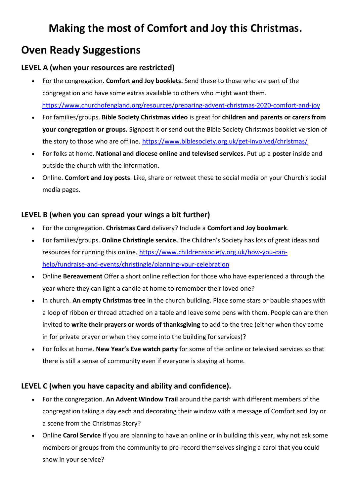# **Oven Ready Suggestions**

### **LEVEL A (when your resources are restricted)**

- For the congregation. **Comfort and Joy booklets.** Send these to those who are part of the congregation and have some extras available to others who might want them. <https://www.churchofengland.org/resources/preparing-advent-christmas-2020-comfort-and-joy>
- For families/groups. **Bible Society Christmas video** is great for **children and parents or carers from your congregation or groups.** Signpost it or send out the Bible Society Christmas booklet version of the story to those who are offline. [https://www.biblesociety.org.uk/get-involved/christmas/](https://eur06.safelinks.protection.outlook.com/?url=https%3A%2F%2Fwww.biblesociety.org.uk%2Fget-involved%2Fchristmas%2F&data=04%7C01%7C%7Cd49632aba8c34b4b766508d887372732%7C84df9e7fe9f640afb435aaaaaaaaaaaa%7C1%7C0%7C637408018226661703%7CUnknown%7CTWFpbGZsb3d8eyJWIjoiMC4wLjAwMDAiLCJQIjoiV2luMzIiLCJBTiI6Ik1haWwiLCJXVCI6Mn0%3D%7C1000&sdata=0JYEnrGwZA%2BhwGUGlcOzhP2kD8yp3acUyC3N1HM9Uj4%3D&reserved=0)
- For folks at home. **National and diocese online and televised services.** Put up a **poster** inside and outside the church with the information.
- Online. **Comfort and Joy posts**. Like, share or retweet these to social media on your Church's social media pages.

### **LEVEL B (when you can spread your wings a bit further)**

- For the congregation. **Christmas Card** delivery? Include a **Comfort and Joy bookmark**.
- For families/groups. **Online Christingle service.** The Children's Society has lots of great ideas and resources for running this online. [https://www.childrenssociety.org.uk/how-you-can](https://eur06.safelinks.protection.outlook.com/?url=https%3A%2F%2Fwww.childrenssociety.org.uk%2Fhow-you-can-help%2Ffundraise-and-events%2Fchristingle%2Fplanning-your-celebration&data=04%7C01%7C%7Cd49632aba8c34b4b766508d887372732%7C84df9e7fe9f640afb435aaaaaaaaaaaa%7C1%7C0%7C637408018226661703%7CUnknown%7CTWFpbGZsb3d8eyJWIjoiMC4wLjAwMDAiLCJQIjoiV2luMzIiLCJBTiI6Ik1haWwiLCJXVCI6Mn0%3D%7C1000&sdata=MhEIuXvNhALkNLXF16yBtJIpHXGmfOqfxMlCcbJkjLk%3D&reserved=0)[help/fundraise-and-events/christingle/planning-your-celebration](https://eur06.safelinks.protection.outlook.com/?url=https%3A%2F%2Fwww.childrenssociety.org.uk%2Fhow-you-can-help%2Ffundraise-and-events%2Fchristingle%2Fplanning-your-celebration&data=04%7C01%7C%7Cd49632aba8c34b4b766508d887372732%7C84df9e7fe9f640afb435aaaaaaaaaaaa%7C1%7C0%7C637408018226661703%7CUnknown%7CTWFpbGZsb3d8eyJWIjoiMC4wLjAwMDAiLCJQIjoiV2luMzIiLCJBTiI6Ik1haWwiLCJXVCI6Mn0%3D%7C1000&sdata=MhEIuXvNhALkNLXF16yBtJIpHXGmfOqfxMlCcbJkjLk%3D&reserved=0)
- Online **Bereavement** Offer a short online reflection for those who have experienced a through the year where they can light a candle at home to remember their loved one?
- In church. **An empty Christmas tree** in the church building. Place some stars or bauble shapes with a loop of ribbon or thread attached on a table and leave some pens with them. People can are then invited to **write their prayers or words of thanksgiving** to add to the tree (either when they come in for private prayer or when they come into the building for services)?
- For folks at home. **New Year's Eve watch party** for some of the online or televised services so that there is still a sense of community even if everyone is staying at home.

### **LEVEL C (when you have capacity and ability and confidence).**

- For the congregation. **An Advent Window Trail** around the parish with different members of the congregation taking a day each and decorating their window with a message of Comfort and Joy or a scene from the Christmas Story?
- Online **Carol Service** If you are planning to have an online or in building this year, why not ask some members or groups from the community to pre-record themselves singing a carol that you could show in your service?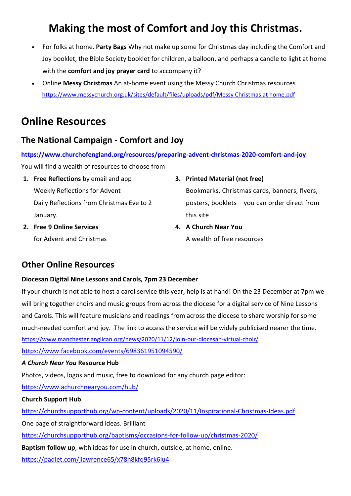- For folks at home. **Party Bags** Why not make up some for Christmas day including the Comfort and Joy booklet, the Bible Society booklet for children, a balloon, and perhaps a candle to light at home with the **comfort and joy prayer card** to accompany it?
- Online **Messy Christmas** An at-home event using the Messy Church Christmas resources [https://www.messychurch.org.uk/sites/default/files/uploads/pdf/Messy Christmas at home.pdf](https://www.messychurch.org.uk/sites/default/files/uploads/pdf/Messy%20Christmas%20at%20home.pdf)

## **Online Resources**

## **The National Campaign - Comfort and Joy**

**<https://www.churchofengland.org/resources/preparing-advent-christmas-2020-comfort-and-joy>** You will find a wealth of resources to choose from

- **1. Free Reflections** by email and app Weekly Reflections for Advent Daily Reflections from Christmas Eve to 2 January.
- **2. Free 9 Online Services** for Advent and Christmas

**3. Printed Material (not free)**

Bookmarks, Christmas cards, banners, flyers, posters, booklets – you can order direct from this site

**4. A Church Near You** A wealth of free resources

## **Other Online Resources**

### **Diocesan Digital Nine Lessons and Carols, 7pm 23 December**

If your church is not able to host a carol service this year, help is at hand! On the 23 December at 7pm we will bring together choirs and music groups from across the diocese for a digital service of Nine Lessons and Carols. This will feature musicians and readings from across the diocese to share worship for some much-needed comfort and joy. The link to access the service will be widely publicised nearer the time. [https://www.manchester.anglican.org/news/2020/11/12/join-our-diocesan-virtual-choir/](https://nam05.safelinks.protection.outlook.com/?url=https%3A%2F%2Fwww.manchester.anglican.org%2Fnews%2F2020%2F11%2F12%2Fjoin-our-diocesan-virtual-choir%2F&data=04%7C01%7C%7Cd2387735c72d4eb65c7808d888aa665b%7C84df9e7fe9f640afb435aaaaaaaaaaaa%7C1%7C0%7C637409612902289109%7CUnknown%7CTWFpbGZsb3d8eyJWIjoiMC4wLjAwMDAiLCJQIjoiV2luMzIiLCJBTiI6Ik1haWwiLCJXVCI6Mn0%3D%7C1000&sdata=%2BiNwulOUHP9I7IHHx%2FdklC9nOe37slOENhDrNBs%2Bzxs%3D&reserved=0) <https://www.facebook.com/events/698361951094590/>

### *A Church Near You* **Resource Hub**

Photos, videos, logos and music, free to download for any church page editor:

<https://www.achurchnearyou.com/hub/>

### **Church Support Hub**

<https://churchsupporthub.org/wp-content/uploads/2020/11/Inspirational-Christmas-Ideas.pdf> One page of straightforward ideas. Brilliant <https://churchsupporthub.org/baptisms/occasions-for-follow-up/christmas-2020/> **Baptism follow up**, with ideas for use in church, outside, at home, online. <https://padlet.com/jlawrence65/x78h8kfq95rk6lu4>